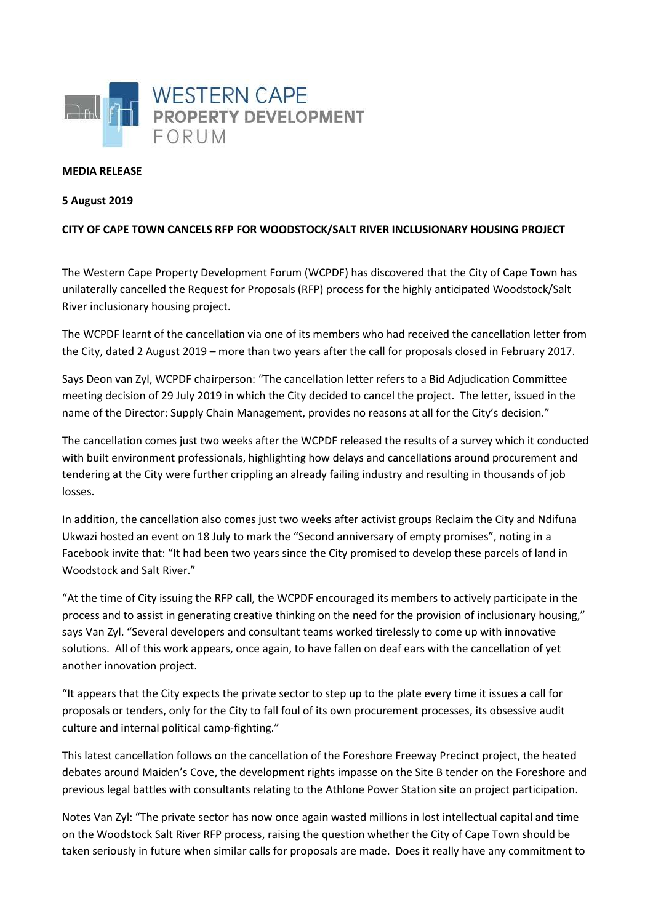

## **MEDIA RELEASE**

## **5 August 2019**

## **CITY OF CAPE TOWN CANCELS RFP FOR WOODSTOCK/SALT RIVER INCLUSIONARY HOUSING PROJECT**

The Western Cape Property Development Forum (WCPDF) has discovered that the City of Cape Town has unilaterally cancelled the Request for Proposals (RFP) process for the highly anticipated Woodstock/Salt River inclusionary housing project.

The WCPDF learnt of the cancellation via one of its members who had received the cancellation letter from the City, dated 2 August 2019 – more than two years after the call for proposals closed in February 2017.

Says Deon van Zyl, WCPDF chairperson: "The cancellation letter refers to a Bid Adjudication Committee meeting decision of 29 July 2019 in which the City decided to cancel the project. The letter, issued in the name of the Director: Supply Chain Management, provides no reasons at all for the City's decision."

The cancellation comes just two weeks after the WCPDF released the results of a survey which it conducted with built environment professionals, highlighting how delays and cancellations around procurement and tendering at the City were further crippling an already failing industry and resulting in thousands of job losses.

In addition, the cancellation also comes just two weeks after activist groups Reclaim the City and Ndifuna Ukwazi hosted an event on 18 July to mark the "Second anniversary of empty promises", noting in a Facebook invite that: "It had been two years since the City promised to develop these parcels of land in Woodstock and Salt River."

"At the time of City issuing the RFP call, the WCPDF encouraged its members to actively participate in the process and to assist in generating creative thinking on the need for the provision of inclusionary housing," says Van Zyl. "Several developers and consultant teams worked tirelessly to come up with innovative solutions. All of this work appears, once again, to have fallen on deaf ears with the cancellation of yet another innovation project.

"It appears that the City expects the private sector to step up to the plate every time it issues a call for proposals or tenders, only for the City to fall foul of its own procurement processes, its obsessive audit culture and internal political camp-fighting."

This latest cancellation follows on the cancellation of the Foreshore Freeway Precinct project, the heated debates around Maiden's Cove, the development rights impasse on the Site B tender on the Foreshore and previous legal battles with consultants relating to the Athlone Power Station site on project participation.

Notes Van Zyl: "The private sector has now once again wasted millions in lost intellectual capital and time on the Woodstock Salt River RFP process, raising the question whether the City of Cape Town should be taken seriously in future when similar calls for proposals are made. Does it really have any commitment to